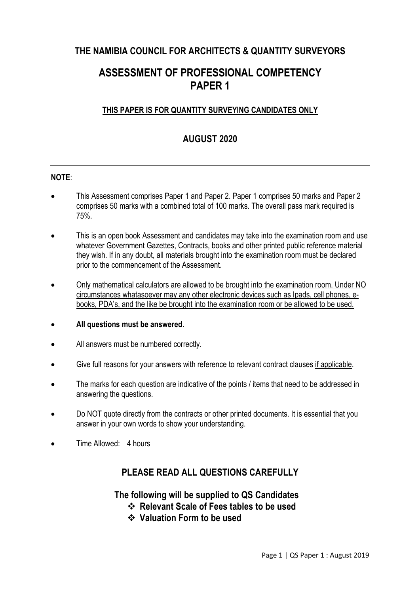## **THE NAMIBIA COUNCIL FOR ARCHITECTS & QUANTITY SURVEYORS**

# **ASSESSMENT OF PROFESSIONAL COMPETENCY PAPER 1**

## **THIS PAPER IS FOR QUANTITY SURVEYING CANDIDATES ONLY**

# **AUGUST 2020**

### **NOTE**:

- This Assessment comprises Paper 1 and Paper 2. Paper 1 comprises 50 marks and Paper 2 comprises 50 marks with a combined total of 100 marks. The overall pass mark required is 75%.
- This is an open book Assessment and candidates may take into the examination room and use whatever Government Gazettes, Contracts, books and other printed public reference material they wish. If in any doubt, all materials brought into the examination room must be declared prior to the commencement of the Assessment.
- Only mathematical calculators are allowed to be brought into the examination room. Under NO circumstances whatasoever may any other electronic devices such as Ipads, cell phones, ebooks, PDA's, and the like be brought into the examination room or be allowed to be used.
- **All questions must be answered**.
- All answers must be numbered correctly.
- Give full reasons for your answers with reference to relevant contract clauses if applicable.
- The marks for each question are indicative of the points / items that need to be addressed in answering the questions.
- Do NOT quote directly from the contracts or other printed documents. It is essential that you answer in your own words to show your understanding.
- Time Allowed: 4 hours

## **PLEASE READ ALL QUESTIONS CAREFULLY**

**The following will be supplied to QS Candidates** 

- v **Relevant Scale of Fees tables to be used**
- v **Valuation Form to be used**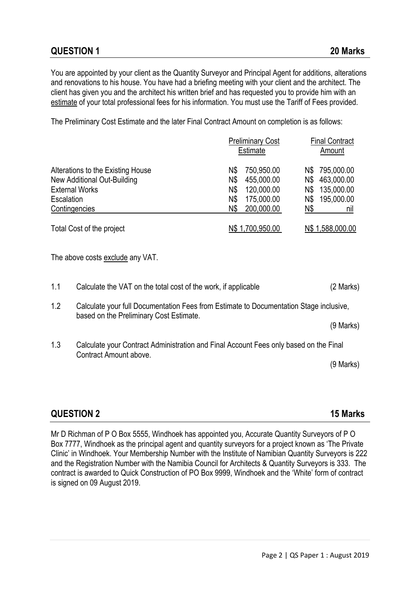You are appointed by your client as the Quantity Surveyor and Principal Agent for additions, alterations and renovations to his house. You have had a briefing meeting with your client and the architect. The client has given you and the architect his written brief and has requested you to provide him with an estimate of your total professional fees for his information. You must use the Tariff of Fees provided.

The Preliminary Cost Estimate and the later Final Contract Amount on completion is as follows:

|                                   | <b>Preliminary Cost</b><br><b>Estimate</b> | <b>Final Contract</b><br>Amount |
|-----------------------------------|--------------------------------------------|---------------------------------|
| Alterations to the Existing House | 750,950.00<br>N\$                          | N\$ 795,000.00                  |
| New Additional Out-Building       | 455,000.00<br>N\$                          | 463,000.00<br>N\$               |
| <b>External Works</b>             | 120,000.00<br>N\$                          | 135,000.00<br>N\$               |
| Escalation                        | 175,000.00<br>N\$                          | 195,000.00<br>N\$               |
| Contingencies                     | 200,000.00<br>N\$                          | Ν\$<br>nıl                      |
| Total Cost of the project         | N\$ 1,700,950.00                           | N\$ 1,588,000.00                |

The above costs exclude any VAT.

| 1.1 | Calculate the VAT on the total cost of the work, if applicable                                                                    | (2 Marks)   |
|-----|-----------------------------------------------------------------------------------------------------------------------------------|-------------|
| 1.2 | Calculate your full Documentation Fees from Estimate to Documentation Stage inclusive,<br>based on the Preliminary Cost Estimate. |             |
|     |                                                                                                                                   | $(9$ Marks) |
| 1.3 | Calculate your Contract Administration and Final Account Fees only based on the Final<br>Contract Amount above.                   |             |
|     |                                                                                                                                   | $(9$ Marks) |
|     |                                                                                                                                   |             |

## **QUESTION 2 15 Marks**

Mr D Richman of P O Box 5555, Windhoek has appointed you, Accurate Quantity Surveyors of P O Box 7777, Windhoek as the principal agent and quantity surveyors for a project known as 'The Private Clinic' in Windhoek. Your Membership Number with the Institute of Namibian Quantity Surveyors is 222 and the Registration Number with the Namibia Council for Architects & Quantity Surveyors is 333. The contract is awarded to Quick Construction of PO Box 9999, Windhoek and the 'White' form of contract is signed on 09 August 2019.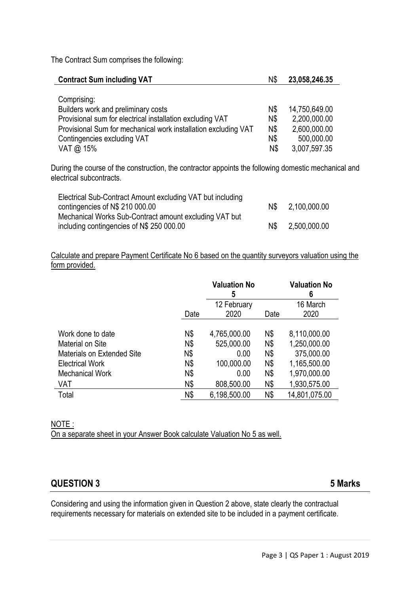The Contract Sum comprises the following:

| <b>Contract Sum including VAT</b>                              |     | 23,058,246.35 |
|----------------------------------------------------------------|-----|---------------|
|                                                                |     |               |
| Comprising:                                                    |     |               |
| Builders work and preliminary costs                            | N\$ | 14,750,649.00 |
| Provisional sum for electrical installation excluding VAT      | N\$ | 2,200,000.00  |
| Provisional Sum for mechanical work installation excluding VAT | N\$ | 2,600,000.00  |
| Contingencies excluding VAT                                    | N\$ | 500,000.00    |
| VAT @ 15%                                                      | N\$ | 3,007,597.35  |

During the course of the construction, the contractor appoints the following domestic mechanical and electrical subcontracts.

| Electrical Sub-Contract Amount excluding VAT but including |     |              |
|------------------------------------------------------------|-----|--------------|
| contingencies of N\$ 210 000.00                            | N\$ | 2,100,000.00 |
| Mechanical Works Sub-Contract amount excluding VAT but     |     |              |
| including contingencies of N\$ 250 000.00                  | N\$ | 2,500,000.00 |

Calculate and prepare Payment Certificate No 6 based on the quantity surveyors valuation using the form provided.

|                                   |      | <b>Valuation No</b><br>5 |            | <b>Valuation No</b><br>6 |
|-----------------------------------|------|--------------------------|------------|--------------------------|
|                                   |      | 12 February              |            | 16 March                 |
|                                   | Date | 2020                     | Date       | 2020                     |
|                                   |      |                          |            |                          |
| Work done to date                 | N\$  | 4,765,000.00             | N\$        | 8,110,000.00             |
| Material on Site                  | N\$  | 525,000.00               | N\$        | 1,250,000.00             |
| <b>Materials on Extended Site</b> | N\$  | 0.00                     | <b>N\$</b> | 375,000.00               |
| <b>Electrical Work</b>            | N\$  | 100,000.00               | N\$        | 1,165,500.00             |
| <b>Mechanical Work</b>            | N\$  | 0.00                     | N\$        | 1,970,000.00             |
| VAT                               | N\$  | 808,500.00               | N\$        | 1,930,575.00             |
| Total                             | N\$  | 6,198,500.00             | N\$        | 14,801,075.00            |

# NOTE :

On a separate sheet in your Answer Book calculate Valuation No 5 as well.

## **QUESTION 3 5 Marks**

Considering and using the information given in Question 2 above, state clearly the contractual requirements necessary for materials on extended site to be included in a payment certificate.